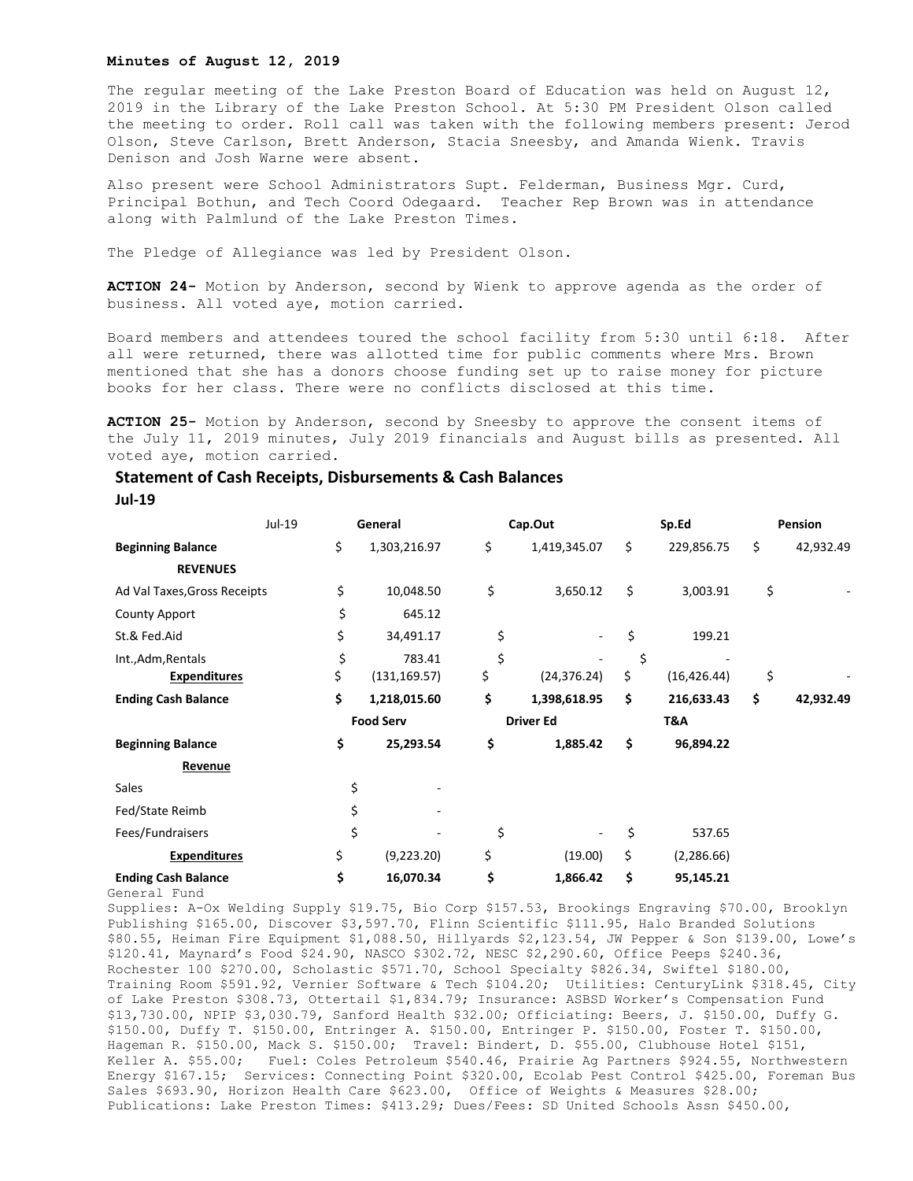## **Minutes of August 12, 2019**

The regular meeting of the Lake Preston Board of Education was held on August 12, 2019 in the Library of the Lake Preston School. At 5:30 PM President Olson called the meeting to order. Roll call was taken with the following members present: Jerod Olson, Steve Carlson, Brett Anderson, Stacia Sneesby, and Amanda Wienk. Travis Denison and Josh Warne were absent.

Also present were School Administrators Supt. Felderman, Business Mgr. Curd, Principal Bothun, and Tech Coord Odegaard. Teacher Rep Brown was in attendance along with Palmlund of the Lake Preston Times.

The Pledge of Allegiance was led by President Olson.

**ACTION 24-** Motion by Anderson, second by Wienk to approve agenda as the order of business. All voted aye, motion carried.

Board members and attendees toured the school facility from 5:30 until 6:18. After all were returned, there was allotted time for public comments where Mrs. Brown mentioned that she has a donors choose funding set up to raise money for picture books for her class. There were no conflicts disclosed at this time.

**ACTION 25-** Motion by Anderson, second by Sneesby to approve the consent items of the July 11, 2019 minutes, July 2019 financials and August bills as presented. All voted aye, motion carried.

## **Statement of Cash Receipts, Disbursements & Cash Balances**

## **Jul-19**

|                              | Jul-19 |                  | General       |                  | Cap.Out      |     | Sp.Ed        |    | Pension   |  |
|------------------------------|--------|------------------|---------------|------------------|--------------|-----|--------------|----|-----------|--|
| <b>Beginning Balance</b>     |        | \$               | 1,303,216.97  | \$               | 1,419,345.07 | \$  | 229,856.75   | \$ | 42,932.49 |  |
| <b>REVENUES</b>              |        |                  |               |                  |              |     |              |    |           |  |
| Ad Val Taxes, Gross Receipts |        | \$               | 10,048.50     | \$               | 3,650.12     | \$  | 3,003.91     | \$ |           |  |
| <b>County Apport</b>         |        | \$               | 645.12        |                  |              |     |              |    |           |  |
| St.& Fed.Aid                 |        | \$               | 34,491.17     | \$               |              | \$  | 199.21       |    |           |  |
| Int., Adm, Rentals           |        | \$               | 783.41        | \$               |              | \$  |              |    |           |  |
| <b>Expenditures</b>          |        | \$               | (131, 169.57) | \$               | (24, 376.24) | \$  | (16, 426.44) | \$ |           |  |
| <b>Ending Cash Balance</b>   |        | \$               | 1,218,015.60  | \$               | 1,398,618.95 | \$  | 216,633.43   | \$ | 42,932.49 |  |
|                              |        | <b>Food Serv</b> |               | <b>Driver Ed</b> |              | T&A |              |    |           |  |
| <b>Beginning Balance</b>     |        | \$               | 25,293.54     | \$               | 1,885.42     | \$  | 96,894.22    |    |           |  |
| Revenue                      |        |                  |               |                  |              |     |              |    |           |  |
| Sales                        |        | \$               |               |                  |              |     |              |    |           |  |
| Fed/State Reimb              |        | \$               |               |                  |              |     |              |    |           |  |
| Fees/Fundraisers             |        | \$               |               | \$               |              | \$  | 537.65       |    |           |  |
| <b>Expenditures</b>          |        | \$               | (9,223.20)    | \$               | (19.00)      | \$  | (2,286.66)   |    |           |  |
| <b>Ending Cash Balance</b>   |        | \$               | 16,070.34     | \$               | 1,866.42     | \$  | 95,145.21    |    |           |  |

General Fund

Supplies: A-Ox Welding Supply \$19.75, Bio Corp \$157.53, Brookings Engraving \$70.00, Brooklyn Publishing \$165.00, Discover \$3,597.70, Flinn Scientific \$111.95, Halo Branded Solutions \$80.55, Heiman Fire Equipment \$1,088.50, Hillyards \$2,123.54, JW Pepper & Son \$139.00, Lowe's \$120.41, Maynard's Food \$24.90, NASCO \$302.72, NESC \$2,290.60, Office Peeps \$240.36, Rochester 100 \$270.00, Scholastic \$571.70, School Specialty \$826.34, Swiftel \$180.00, Training Room \$591.92, Vernier Software & Tech \$104.20; Utilities: CenturyLink \$318.45, City of Lake Preston \$308.73, Ottertail \$1,834.79; Insurance: ASBSD Worker's Compensation Fund \$13,730.00, NPIP \$3,030.79, Sanford Health \$32.00; Officiating: Beers, J. \$150.00, Duffy G. \$150.00, Duffy T. \$150.00, Entringer A. \$150.00, Entringer P. \$150.00, Foster T. \$150.00, Hageman R. \$150.00, Mack S. \$150.00; Travel: Bindert, D. \$55.00, Clubhouse Hotel \$151, Keller A. \$55.00; Fuel: Coles Petroleum \$540.46, Prairie Ag Partners \$924.55, Northwestern Energy \$167.15; Services: Connecting Point \$320.00, Ecolab Pest Control \$425.00, Foreman Bus Sales \$693.90, Horizon Health Care \$623.00, Office of Weights & Measures \$28.00; Publications: Lake Preston Times: \$413.29; Dues/Fees: SD United Schools Assn \$450.00,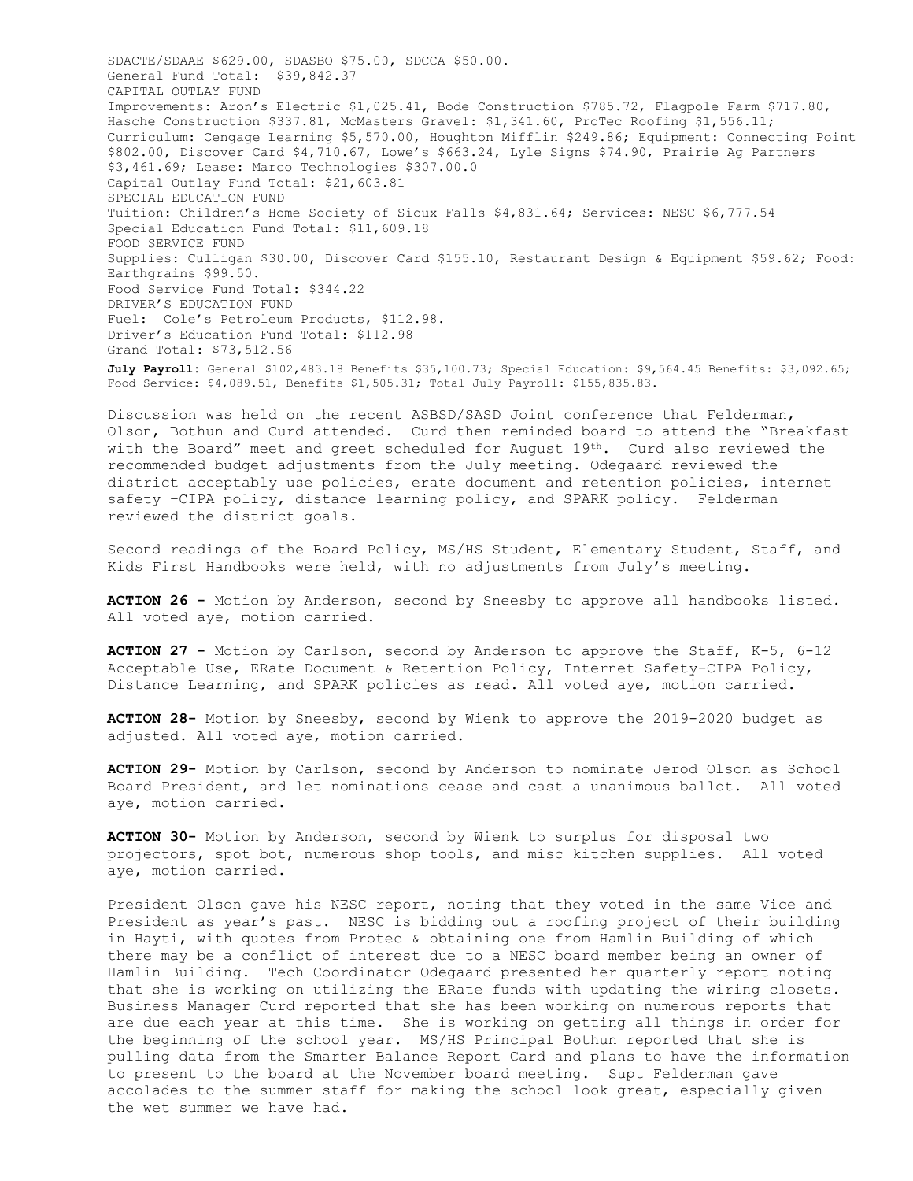SDACTE/SDAAE \$629.00, SDASBO \$75.00, SDCCA \$50.00. General Fund Total: \$39,842.37 CAPITAL OUTLAY FUND Improvements: Aron's Electric \$1,025.41, Bode Construction \$785.72, Flagpole Farm \$717.80, Hasche Construction \$337.81, McMasters Gravel: \$1,341.60, ProTec Roofing \$1,556.11; Curriculum: Cengage Learning \$5,570.00, Houghton Mifflin \$249.86; Equipment: Connecting Point \$802.00, Discover Card \$4,710.67, Lowe's \$663.24, Lyle Signs \$74.90, Prairie Ag Partners \$3,461.69; Lease: Marco Technologies \$307.00.0 Capital Outlay Fund Total: \$21,603.81 SPECIAL EDUCATION FUND Tuition: Children's Home Society of Sioux Falls \$4,831.64; Services: NESC \$6,777.54 Special Education Fund Total: \$11,609.18 FOOD SERVICE FUND Supplies: Culligan \$30.00, Discover Card \$155.10, Restaurant Design & Equipment \$59.62; Food: Earthgrains \$99.50. Food Service Fund Total: \$344.22 DRIVER'S EDUCATION FUND Fuel: Cole's Petroleum Products, \$112.98. Driver's Education Fund Total: \$112.98 Grand Total: \$73,512.56 **July Payroll:** General \$102,483.18 Benefits \$35,100.73; Special Education: \$9,564.45 Benefits: \$3,092.65; Food Service: \$4,089.51, Benefits \$1,505.31; Total July Payroll: \$155,835.83.

Discussion was held on the recent ASBSD/SASD Joint conference that Felderman, Olson, Bothun and Curd attended. Curd then reminded board to attend the "Breakfast with the Board" meet and greet scheduled for August  $19<sup>th</sup>$ . Curd also reviewed the recommended budget adjustments from the July meeting. Odegaard reviewed the district acceptably use policies, erate document and retention policies, internet safety –CIPA policy, distance learning policy, and SPARK policy. Felderman reviewed the district goals.

Second readings of the Board Policy, MS/HS Student, Elementary Student, Staff, and Kids First Handbooks were held, with no adjustments from July's meeting.

**ACTION 26 -** Motion by Anderson, second by Sneesby to approve all handbooks listed. All voted aye, motion carried.

**ACTION 27 -** Motion by Carlson, second by Anderson to approve the Staff, K-5, 6-12 Acceptable Use, ERate Document & Retention Policy, Internet Safety-CIPA Policy, Distance Learning, and SPARK policies as read. All voted aye, motion carried.

**ACTION 28-** Motion by Sneesby, second by Wienk to approve the 2019-2020 budget as adjusted. All voted aye, motion carried.

**ACTION 29-** Motion by Carlson, second by Anderson to nominate Jerod Olson as School Board President, and let nominations cease and cast a unanimous ballot. All voted aye, motion carried.

**ACTION 30-** Motion by Anderson, second by Wienk to surplus for disposal two projectors, spot bot, numerous shop tools, and misc kitchen supplies. All voted aye, motion carried.

President Olson gave his NESC report, noting that they voted in the same Vice and President as year's past. NESC is bidding out a roofing project of their building in Hayti, with quotes from Protec & obtaining one from Hamlin Building of which there may be a conflict of interest due to a NESC board member being an owner of Hamlin Building. Tech Coordinator Odegaard presented her quarterly report noting that she is working on utilizing the ERate funds with updating the wiring closets. Business Manager Curd reported that she has been working on numerous reports that are due each year at this time. She is working on getting all things in order for the beginning of the school year. MS/HS Principal Bothun reported that she is pulling data from the Smarter Balance Report Card and plans to have the information to present to the board at the November board meeting. Supt Felderman gave accolades to the summer staff for making the school look great, especially given the wet summer we have had.